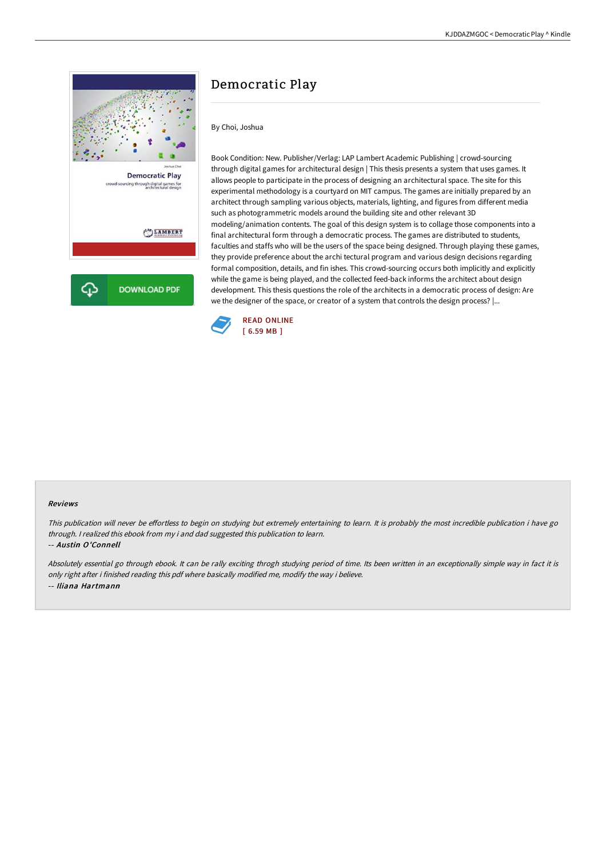

## Democratic Play

By Choi, Joshua

Book Condition: New. Publisher/Verlag: LAP Lambert Academic Publishing | crowd-sourcing through digital games for architectural design | This thesis presents a system that uses games. It allows people to participate in the process of designing an architectural space. The site for this experimental methodology is a courtyard on MIT campus. The games are initially prepared by an architect through sampling various objects, materials, lighting, and figures from different media such as photogrammetric models around the building site and other relevant 3D modeling/animation contents. The goal of this design system is to collage those components into a final architectural form through a democratic process. The games are distributed to students, faculties and staffs who will be the users of the space being designed. Through playing these games, they provide preference about the archi tectural program and various design decisions regarding formal composition, details, and fin ishes. This crowd-sourcing occurs both implicitly and explicitly while the game is being played, and the collected feed-back informs the architect about design development. This thesis questions the role of the architects in a democratic process of design: Are we the designer of the space, or creator of a system that controls the design process? |...



## Reviews

This publication will never be effortless to begin on studying but extremely entertaining to learn. It is probably the most incredible publication i have go through. <sup>I</sup> realized this ebook from my i and dad suggested this publication to learn. -- Austin O'Connell

Absolutely essential go through ebook. It can be rally exciting throgh studying period of time. Its been written in an exceptionally simple way in fact it is only right after i finished reading this pdf where basically modified me, modify the way i believe. -- Iliana Hartmann